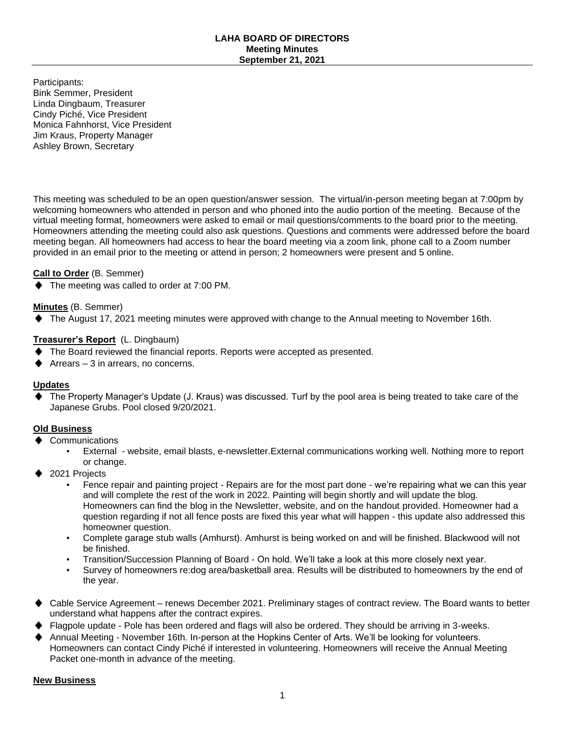#### **LAHA BOARD OF DIRECTORS Meeting Minutes September 21, 2021**

Participants: Bink Semmer, President Linda Dingbaum, Treasurer Cindy Piché, Vice President Monica Fahnhorst, Vice President Jim Kraus, Property Manager Ashley Brown, Secretary

This meeting was scheduled to be an open question/answer session. The virtual/in-person meeting began at 7:00pm by welcoming homeowners who attended in person and who phoned into the audio portion of the meeting. Because of the virtual meeting format, homeowners were asked to email or mail questions/comments to the board prior to the meeting. Homeowners attending the meeting could also ask questions. Questions and comments were addressed before the board meeting began. All homeowners had access to hear the board meeting via a zoom link, phone call to a Zoom number provided in an email prior to the meeting or attend in person; 2 homeowners were present and 5 online.

## **Call to Order** (B. Semmer)

♦ The meeting was called to order at 7:00 PM.

# **Minutes** (B. Semmer)

♦ The August 17, 2021 meeting minutes were approved with change to the Annual meeting to November 16th.

# **Treasurer's Report** (L. Dingbaum)

- The Board reviewed the financial reports. Reports were accepted as presented.
- Arrears  $-3$  in arrears, no concerns.

## **Updates**

The Property Manager's Update (J. Kraus) was discussed. Turf by the pool area is being treated to take care of the Japanese Grubs. Pool closed 9/20/2021.

## **Old Business**

- Communications
	- External website, email blasts, e-newsletter. External communications working well. Nothing more to report or change.
- 2021 Projects
	- Fence repair and painting project Repairs are for the most part done we're repairing what we can this year and will complete the rest of the work in 2022. Painting will begin shortly and will update the blog. Homeowners can find the blog in the Newsletter, website, and on the handout provided. Homeowner had a question regarding if not all fence posts are fixed this year what will happen - this update also addressed this homeowner question.
	- Complete garage stub walls (Amhurst). Amhurst is being worked on and will be finished. Blackwood will not be finished.
	- Transition/Succession Planning of Board On hold. We'll take a look at this more closely next year.
	- Survey of homeowners re:dog area/basketball area. Results will be distributed to homeowners by the end of the year.
- Cable Service Agreement renews December 2021. Preliminary stages of contract review. The Board wants to better understand what happens after the contract expires.
- Flagpole update Pole has been ordered and flags will also be ordered. They should be arriving in 3-weeks.
- Annual Meeting November 16th. In-person at the Hopkins Center of Arts. We'll be looking for volunteers. Homeowners can contact Cindy Piché if interested in volunteering. Homeowners will receive the Annual Meeting Packet one-month in advance of the meeting.

#### **New Business**